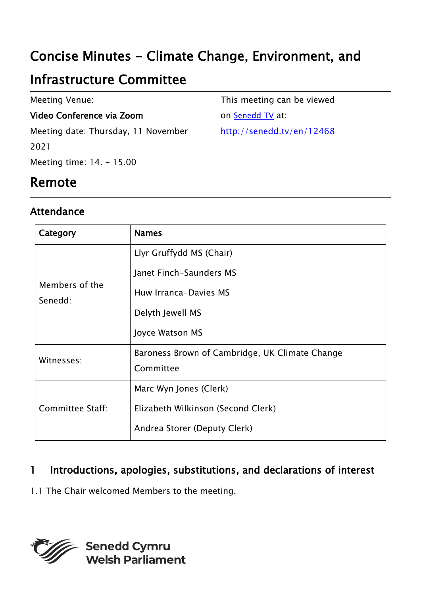# Concise Minutes - Climate Change, Environment, and

# Infrastructure Committee

Meeting Venue:

#### Video Conference via Zoom

Meeting date: Thursday, 11 November 2021 Meeting time: 14. - 15.00

This meeting can be viewed on [Senedd TV](http://senedd.tv/) at:

http://senedd.tv/en/12468

### Remote

#### Attendance

| Category                  | <b>Names</b>                                   |
|---------------------------|------------------------------------------------|
| Members of the<br>Senedd: | Llyr Gruffydd MS (Chair)                       |
|                           | Janet Finch-Saunders MS                        |
|                           | Huw Irranca-Davies MS                          |
|                           | Delyth Jewell MS                               |
|                           | Joyce Watson MS                                |
| Witnesses:                | Baroness Brown of Cambridge, UK Climate Change |
|                           | Committee                                      |
| <b>Committee Staff:</b>   | Marc Wyn Jones (Clerk)                         |
|                           | Elizabeth Wilkinson (Second Clerk)             |
|                           | Andrea Storer (Deputy Clerk)                   |

### 1 Introductions, apologies, substitutions, and declarations of interest

1.1 The Chair welcomed Members to the meeting.